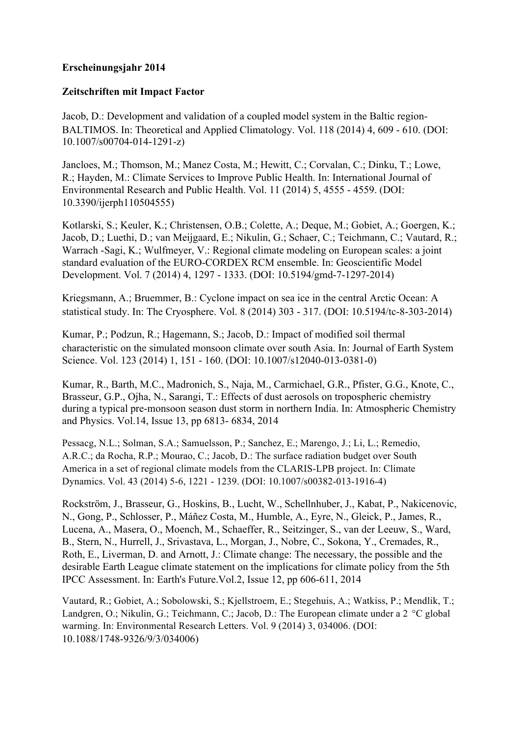## **Erscheinungsjahr 2014**

## **Zeitschriften mit Impact Factor**

Jacob, D.: Development and validation of a coupled model system in the Baltic region-BALTIMOS. In: Theoretical and Applied Climatology. Vol. 118 (2014) 4, 609 - 610. (DOI: 10.1007/s00704-014-1291-z)

Jancloes, M.; Thomson, M.; Manez Costa, M.; Hewitt, C.; Corvalan, C.; Dinku, T.; Lowe, R.; Hayden, M.: Climate Services to Improve Public Health. In: International Journal of Environmental Research and Public Health. Vol. 11 (2014) 5, 4555 - 4559. (DOI: 10.3390/ijerph110504555)

Kotlarski, S.; Keuler, K.; Christensen, O.B.; Colette, A.; Deque, M.; Gobiet, A.; Goergen, K.; Jacob, D.; Luethi, D.; van Meijgaard, E.; Nikulin, G.; Schaer, C.; Teichmann, C.; Vautard, R.; Warrach -Sagi, K.; Wulfmeyer, V.: Regional climate modeling on European scales: a joint standard evaluation of the EURO-CORDEX RCM ensemble. In: Geoscientific Model Development. Vol. 7 (2014) 4, 1297 - 1333. (DOI: 10.5194/gmd-7-1297-2014)

Kriegsmann, A.; Bruemmer, B.: Cyclone impact on sea ice in the central Arctic Ocean: A statistical study. In: The Cryosphere. Vol. 8 (2014) 303 - 317. (DOI: 10.5194/tc-8-303-2014)

Kumar, P.; Podzun, R.; Hagemann, S.; Jacob, D.: Impact of modified soil thermal characteristic on the simulated monsoon climate over south Asia. In: Journal of Earth System Science. Vol. 123 (2014) 1, 151 - 160. (DOI: 10.1007/s12040-013-0381-0)

Kumar, R., Barth, M.C., Madronich, S., Naja, M., Carmichael, G.R., Pfister, G.G., Knote, C., Brasseur, G.P., Ojha, N., Sarangi, T.: Effects of dust aerosols on tropospheric chemistry during a typical pre-monsoon season dust storm in northern India. In: Atmospheric Chemistry and Physics. Vol.14, Issue 13, pp 6813- 6834, 2014

Pessacg, N.L.; Solman, S.A.; Samuelsson, P.; Sanchez, E.; Marengo, J.; Li, L.; Remedio, A.R.C.; da Rocha, R.P.; Mourao, C.; Jacob, D.: The surface radiation budget over South America in a set of regional climate models from the CLARIS-LPB project. In: Climate Dynamics. Vol. 43 (2014) 5-6, 1221 - 1239. (DOI: 10.1007/s00382-013-1916-4)

Rockström, J., Brasseur, G., Hoskins, B., Lucht, W., Schellnhuber, J., Kabat, P., Nakicenovic, N., Gong, P., Schlosser, P., Máñez Costa, M., Humble, A., Eyre, N., Gleick, P., James, R., Lucena, A., Masera, O., Moench, M., Schaeffer, R., Seitzinger, S., van der Leeuw, S., Ward, B., Stern, N., Hurrell, J., Srivastava, L., Morgan, J., Nobre, C., Sokona, Y., Cremades, R., Roth, E., Liverman, D. and Arnott, J.: Climate change: The necessary, the possible and the desirable Earth League climate statement on the implications for climate policy from the 5th IPCC Assessment. In: Earth's Future.Vol.2, Issue 12, pp 606-611, 2014

Vautard, R.; Gobiet, A.; Sobolowski, S.; Kjellstroem, E.; Stegehuis, A.; Watkiss, P.; Mendlik, T.; Landgren, O.; Nikulin, G.; Teichmann, C.; Jacob, D.: The European climate under a 2 °C global warming. In: Environmental Research Letters. Vol. 9 (2014) 3, 034006. (DOI: 10.1088/1748-9326/9/3/034006)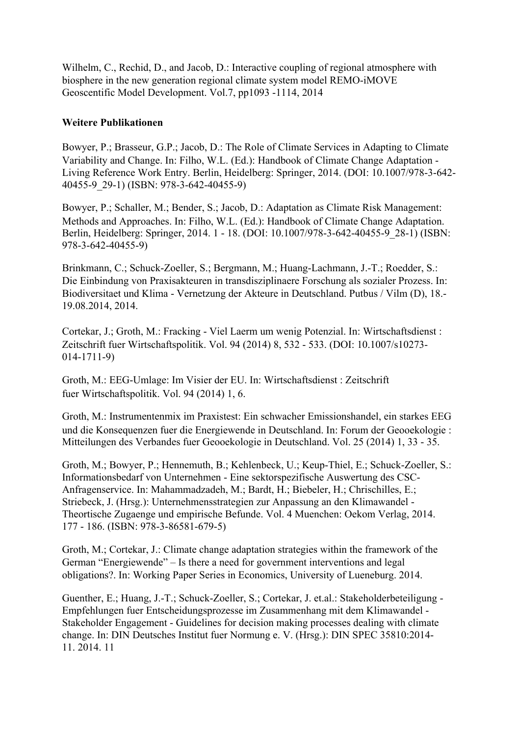Wilhelm, C., Rechid, D., and Jacob, D.: Interactive coupling of regional atmosphere with biosphere in the new generation regional climate system model REMO-iMOVE Geoscentific Model Development. Vol.7, pp1093 -1114, 2014

## **Weitere Publikationen**

Bowyer, P.; Brasseur, G.P.; Jacob, D.: The Role of Climate Services in Adapting to Climate Variability and Change. In: Filho, W.L. (Ed.): Handbook of Climate Change Adaptation - Living Reference Work Entry. Berlin, Heidelberg: Springer, 2014. (DOI: 10.1007/978-3-642- 40455-9\_29-1) (ISBN: 978-3-642-40455-9)

Bowyer, P.; Schaller, M.; Bender, S.; Jacob, D.: Adaptation as Climate Risk Management: Methods and Approaches. In: Filho, W.L. (Ed.): Handbook of Climate Change Adaptation. Berlin, Heidelberg: Springer, 2014. 1 - 18. (DOI: 10.1007/978-3-642-40455-9\_28-1) (ISBN: 978-3-642-40455-9)

Brinkmann, C.; Schuck-Zoeller, S.; Bergmann, M.; Huang-Lachmann, J.-T.; Roedder, S.: Die Einbindung von Praxisakteuren in transdisziplinaere Forschung als sozialer Prozess. In: Biodiversitaet und Klima - Vernetzung der Akteure in Deutschland. Putbus / Vilm (D), 18.- 19.08.2014, 2014.

Cortekar, J.; Groth, M.: Fracking - Viel Laerm um wenig Potenzial. In: Wirtschaftsdienst : Zeitschrift fuer Wirtschaftspolitik. Vol. 94 (2014) 8, 532 - 533. (DOI: 10.1007/s10273- 014-1711-9)

Groth, M.: EEG-Umlage: Im Visier der EU. In: Wirtschaftsdienst : Zeitschrift fuer Wirtschaftspolitik. Vol. 94 (2014) 1, 6.

Groth, M.: Instrumentenmix im Praxistest: Ein schwacher Emissionshandel, ein starkes EEG und die Konsequenzen fuer die Energiewende in Deutschland. In: Forum der Geooekologie : Mitteilungen des Verbandes fuer Geooekologie in Deutschland. Vol. 25 (2014) 1, 33 - 35.

Groth, M.; Bowyer, P.; Hennemuth, B.; Kehlenbeck, U.; Keup-Thiel, E.; Schuck-Zoeller, S.: Informationsbedarf von Unternehmen - Eine sektorspezifische Auswertung des CSC-Anfragenservice. In: Mahammadzadeh, M.; Bardt, H.; Biebeler, H.; Chrischilles, E.; Striebeck, J. (Hrsg.): Unternehmensstrategien zur Anpassung an den Klimawandel - Theortische Zugaenge und empirische Befunde. Vol. 4 Muenchen: Oekom Verlag, 2014. 177 - 186. (ISBN: 978-3-86581-679-5)

Groth, M.; Cortekar, J.: Climate change adaptation strategies within the framework of the German "Energiewende" – Is there a need for government interventions and legal obligations?. In: Working Paper Series in Economics, University of Lueneburg. 2014.

Guenther, E.; Huang, J.-T.; Schuck-Zoeller, S.; Cortekar, J. et.al.: Stakeholderbeteiligung - Empfehlungen fuer Entscheidungsprozesse im Zusammenhang mit dem Klimawandel - Stakeholder Engagement - Guidelines for decision making processes dealing with climate change. In: DIN Deutsches Institut fuer Normung e. V. (Hrsg.): DIN SPEC 35810:2014- 11. 2014. 11